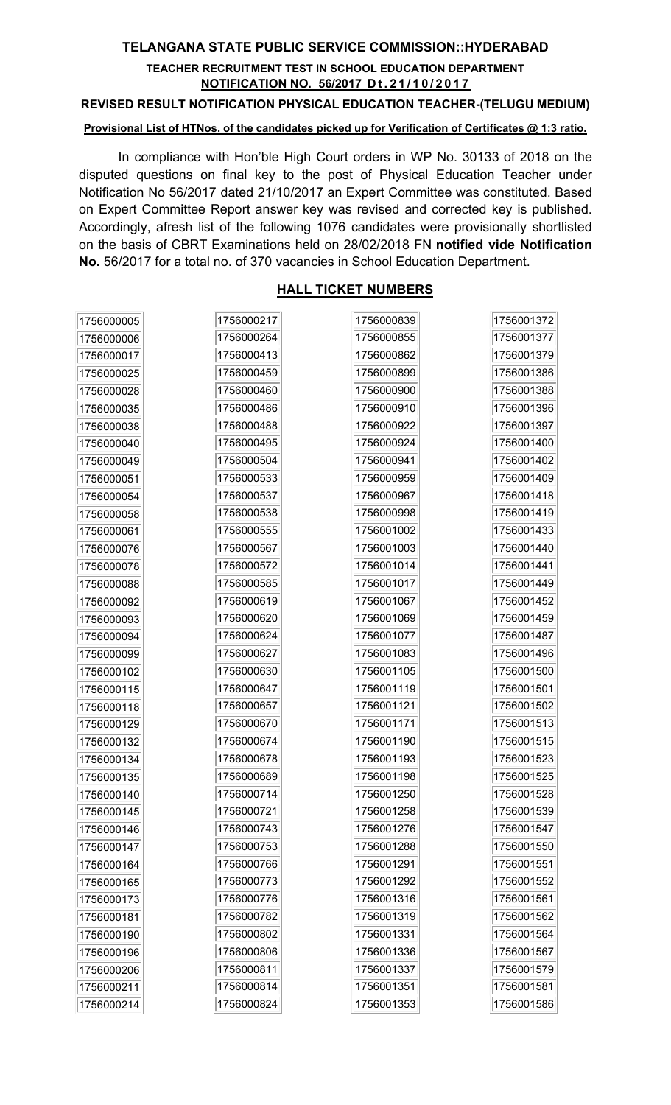## TELANGANA STATE PUBLIC SERVICE COMMISSION::HYDERABAD

### TEACHER RECRUITMENT TEST IN SCHOOL EDUCATION DEPARTMENT NOTIFICATION NO. 56/2017 Dt. 21/10/2017

#### REVISED RESULT NOTIFICATION PHYSICAL EDUCATION TEACHER-(TELUGU MEDIUM)

#### Provisional List of HTNos. of the candidates picked up for Verification of Certificates @ 1:3 ratio.

In compliance with Hon'ble High Court orders in WP No. 30133 of 2018 on the disputed questions on final key to the post of Physical Education Teacher under Notification No 56/2017 dated 21/10/2017 an Expert Committee was constituted. Based on Expert Committee Report answer key was revised and corrected key is published. Accordingly, afresh list of the following 1076 candidates were provisionally shortlisted on the basis of CBRT Examinations held on 28/02/2018 FN notified vide Notification No. 56/2017 for a total no. of 370 vacancies in School Education Department.

## HALL TICKET NUMBERS

| 1756000005 | 1756000217 | 1756000839 | 1756001372 |
|------------|------------|------------|------------|
| 1756000006 | 1756000264 | 1756000855 | 1756001377 |
| 1756000017 | 1756000413 | 1756000862 | 1756001379 |
| 1756000025 | 1756000459 | 1756000899 | 1756001386 |
| 1756000028 | 1756000460 | 1756000900 | 1756001388 |
| 1756000035 | 1756000486 | 1756000910 | 1756001396 |
| 1756000038 | 1756000488 | 1756000922 | 1756001397 |
| 1756000040 | 1756000495 | 1756000924 | 1756001400 |
| 1756000049 | 1756000504 | 1756000941 | 1756001402 |
| 1756000051 | 1756000533 | 1756000959 | 1756001409 |
| 1756000054 | 1756000537 | 1756000967 | 1756001418 |
| 1756000058 | 1756000538 | 1756000998 | 1756001419 |
| 1756000061 | 1756000555 | 1756001002 | 1756001433 |
| 1756000076 | 1756000567 | 1756001003 | 1756001440 |
| 1756000078 | 1756000572 | 1756001014 | 1756001441 |
| 1756000088 | 1756000585 | 1756001017 | 1756001449 |
| 1756000092 | 1756000619 | 1756001067 | 1756001452 |
| 1756000093 | 1756000620 | 1756001069 | 1756001459 |
| 1756000094 | 1756000624 | 1756001077 | 1756001487 |
| 1756000099 | 1756000627 | 1756001083 | 1756001496 |
| 1756000102 | 1756000630 | 1756001105 | 1756001500 |
| 1756000115 | 1756000647 | 1756001119 | 1756001501 |
| 1756000118 | 1756000657 | 1756001121 | 1756001502 |
| 1756000129 | 1756000670 | 1756001171 | 1756001513 |
| 1756000132 | 1756000674 | 1756001190 | 1756001515 |
| 1756000134 | 1756000678 | 1756001193 | 1756001523 |
| 1756000135 | 1756000689 | 1756001198 | 1756001525 |
| 1756000140 | 1756000714 | 1756001250 | 1756001528 |
| 1756000145 | 1756000721 | 1756001258 | 1756001539 |
| 1756000146 | 1756000743 | 1756001276 | 1756001547 |
| 1756000147 | 1756000753 | 1756001288 | 1756001550 |
| 1756000164 | 1756000766 | 1756001291 | 1756001551 |
| 1756000165 | 1756000773 | 1756001292 | 1756001552 |
| 1756000173 | 1756000776 | 1756001316 | 1756001561 |
| 1756000181 | 1756000782 | 1756001319 | 1756001562 |
| 1756000190 | 1756000802 | 1756001331 | 1756001564 |
| 1756000196 | 1756000806 | 1756001336 | 1756001567 |
| 1756000206 | 1756000811 | 1756001337 | 1756001579 |
| 1756000211 | 1756000814 | 1756001351 | 1756001581 |
| 1756000214 | 1756000824 | 1756001353 | 1756001586 |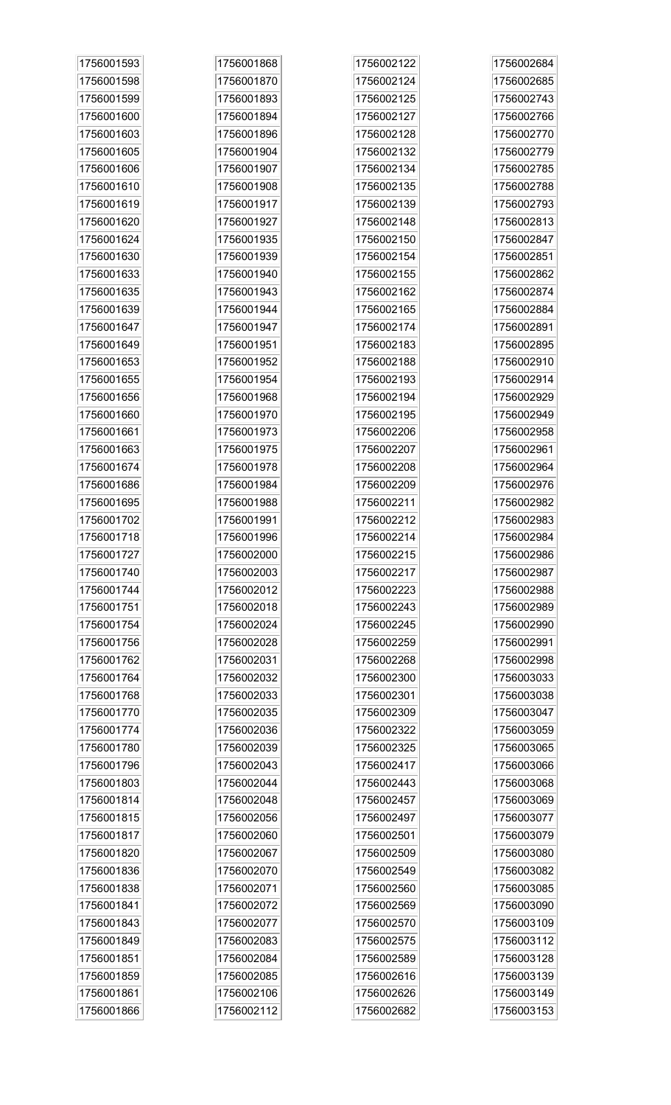| 1756001593 | 1756001868 | 1756002122 | 1756002684 |
|------------|------------|------------|------------|
| 1756001598 | 1756001870 | 1756002124 | 1756002685 |
| 1756001599 | 1756001893 | 1756002125 | 1756002743 |
| 1756001600 | 1756001894 | 1756002127 | 1756002766 |
| 1756001603 | 1756001896 | 1756002128 | 1756002770 |
| 1756001605 | 1756001904 | 1756002132 | 1756002779 |
| 1756001606 | 1756001907 | 1756002134 | 1756002785 |
| 1756001610 | 1756001908 | 1756002135 | 1756002788 |
| 1756001619 | 1756001917 | 1756002139 | 1756002793 |
| 1756001620 | 1756001927 | 1756002148 | 1756002813 |
| 1756001624 | 1756001935 | 1756002150 | 1756002847 |
| 1756001630 | 1756001939 | 1756002154 | 1756002851 |
| 1756001633 | 1756001940 | 1756002155 | 1756002862 |
| 1756001635 | 1756001943 | 1756002162 | 1756002874 |
| 1756001639 | 1756001944 | 1756002165 | 1756002884 |
| 1756001647 | 1756001947 | 1756002174 | 1756002891 |
| 1756001649 | 1756001951 | 1756002183 | 1756002895 |
| 1756001653 | 1756001952 | 1756002188 | 1756002910 |
| 1756001655 | 1756001954 | 1756002193 | 1756002914 |
| 1756001656 | 1756001968 | 1756002194 | 1756002929 |
| 1756001660 | 1756001970 | 1756002195 | 1756002949 |
| 1756001661 | 1756001973 | 1756002206 | 1756002958 |
| 1756001663 | 1756001975 | 1756002207 | 1756002961 |
| 1756001674 | 1756001978 | 1756002208 | 1756002964 |
| 1756001686 | 1756001984 | 1756002209 | 1756002976 |
| 1756001695 | 1756001988 | 1756002211 | 1756002982 |
| 1756001702 | 1756001991 | 1756002212 | 1756002983 |
| 1756001718 | 1756001996 | 1756002214 | 1756002984 |
| 1756001727 | 1756002000 | 1756002215 | 1756002986 |
| 1756001740 | 1756002003 | 1756002217 | 1756002987 |
| 1756001744 | 1756002012 | 1756002223 | 1756002988 |
| 1756001751 | 1756002018 | 1756002243 | 1756002989 |
| 1756001754 | 1756002024 | 1756002245 | 1756002990 |
| 1756001756 | 1756002028 | 1756002259 | 1756002991 |
| 1756001762 | 1756002031 | 1756002268 | 1756002998 |
| 1756001764 | 1756002032 | 1756002300 | 1756003033 |
| 1756001768 | 1756002033 | 1756002301 | 1756003038 |
| 1756001770 | 1756002035 | 1756002309 | 1756003047 |
| 1756001774 | 1756002036 | 1756002322 | 1756003059 |
| 1756001780 | 1756002039 | 1756002325 | 1756003065 |
| 1756001796 | 1756002043 | 1756002417 | 1756003066 |
| 1756001803 | 1756002044 | 1756002443 | 1756003068 |
| 1756001814 | 1756002048 | 1756002457 | 1756003069 |
| 1756001815 | 1756002056 | 1756002497 | 1756003077 |
| 1756001817 | 1756002060 | 1756002501 | 1756003079 |
| 1756001820 | 1756002067 | 1756002509 | 1756003080 |
| 1756001836 | 1756002070 | 1756002549 | 1756003082 |
| 1756001838 | 1756002071 | 1756002560 | 1756003085 |
| 1756001841 | 1756002072 | 1756002569 | 1756003090 |
| 1756001843 | 1756002077 | 1756002570 | 1756003109 |
| 1756001849 | 1756002083 | 1756002575 | 1756003112 |
| 1756001851 | 1756002084 | 1756002589 | 1756003128 |
| 1756001859 | 1756002085 | 1756002616 | 1756003139 |
| 1756001861 | 1756002106 | 1756002626 | 1756003149 |
| 1756001866 | 1756002112 | 1756002682 | 1756003153 |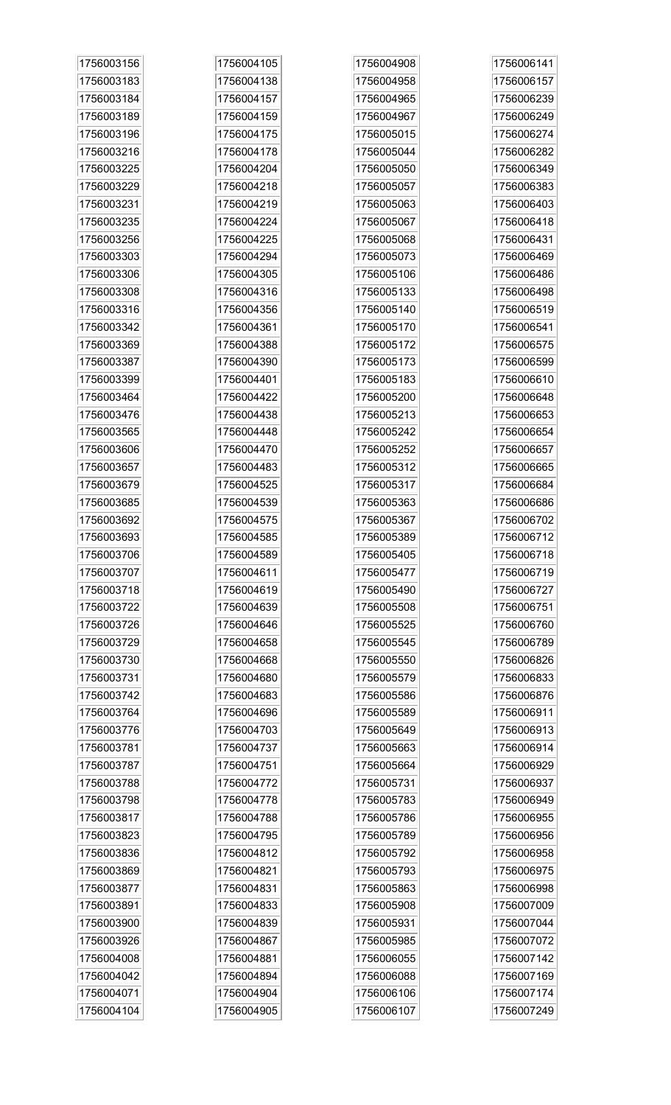| 1756003156 | 1756004105 | 1756004908 | 1756006141 |
|------------|------------|------------|------------|
| 1756003183 | 1756004138 | 1756004958 | 1756006157 |
| 1756003184 | 1756004157 | 1756004965 | 1756006239 |
| 1756003189 | 1756004159 | 1756004967 | 1756006249 |
| 1756003196 | 1756004175 | 1756005015 | 1756006274 |
| 1756003216 | 1756004178 | 1756005044 | 1756006282 |
| 1756003225 | 1756004204 | 1756005050 | 1756006349 |
| 1756003229 | 1756004218 | 1756005057 | 1756006383 |
| 1756003231 | 1756004219 | 1756005063 | 1756006403 |
| 1756003235 | 1756004224 | 1756005067 | 1756006418 |
| 1756003256 | 1756004225 | 1756005068 | 1756006431 |
| 1756003303 | 1756004294 | 1756005073 | 1756006469 |
| 1756003306 | 1756004305 | 1756005106 | 1756006486 |
| 1756003308 | 1756004316 | 1756005133 | 1756006498 |
| 1756003316 | 1756004356 | 1756005140 | 1756006519 |
| 1756003342 | 1756004361 | 1756005170 | 1756006541 |
| 1756003369 | 1756004388 | 1756005172 | 1756006575 |
| 1756003387 | 1756004390 | 1756005173 | 1756006599 |
| 1756003399 | 1756004401 | 1756005183 | 1756006610 |
| 1756003464 | 1756004422 | 1756005200 | 1756006648 |
| 1756003476 | 1756004438 | 1756005213 | 1756006653 |
| 1756003565 | 1756004448 | 1756005242 | 1756006654 |
| 1756003606 | 1756004470 | 1756005252 | 1756006657 |
| 1756003657 | 1756004483 | 1756005312 | 1756006665 |
| 1756003679 | 1756004525 | 1756005317 | 1756006684 |
| 1756003685 | 1756004539 | 1756005363 | 1756006686 |
| 1756003692 | 1756004575 | 1756005367 | 1756006702 |
| 1756003693 | 1756004585 | 1756005389 | 1756006712 |
| 1756003706 | 1756004589 | 1756005405 | 1756006718 |
| 1756003707 | 1756004611 | 1756005477 | 1756006719 |
| 1756003718 | 1756004619 | 1756005490 | 1756006727 |
| 1756003722 | 1756004639 | 1756005508 | 1756006751 |
| 1756003726 | 1756004646 | 1756005525 | 1756006760 |
| 1756003729 | 1756004658 | 1756005545 | 1756006789 |
| 1756003730 | 1756004668 | 1756005550 | 1756006826 |
| 1756003731 | 1756004680 | 1756005579 | 1756006833 |
| 1756003742 | 1756004683 | 1756005586 | 1756006876 |
| 1756003764 | 1756004696 | 1756005589 | 1756006911 |
| 1756003776 | 1756004703 | 1756005649 | 1756006913 |
| 1756003781 | 1756004737 | 1756005663 | 1756006914 |
| 1756003787 | 1756004751 | 1756005664 | 1756006929 |
| 1756003788 | 1756004772 | 1756005731 | 1756006937 |
| 1756003798 | 1756004778 | 1756005783 | 1756006949 |
| 1756003817 | 1756004788 | 1756005786 | 1756006955 |
| 1756003823 | 1756004795 | 1756005789 | 1756006956 |
| 1756003836 | 1756004812 | 1756005792 | 1756006958 |
| 1756003869 | 1756004821 | 1756005793 | 1756006975 |
| 1756003877 | 1756004831 | 1756005863 | 1756006998 |
| 1756003891 | 1756004833 | 1756005908 | 1756007009 |
| 1756003900 | 1756004839 | 1756005931 | 1756007044 |
| 1756003926 | 1756004867 | 1756005985 | 1756007072 |
| 1756004008 | 1756004881 | 1756006055 | 1756007142 |
| 1756004042 | 1756004894 | 1756006088 | 1756007169 |
| 1756004071 | 1756004904 | 1756006106 | 1756007174 |
| 1756004104 | 1756004905 | 1756006107 | 1756007249 |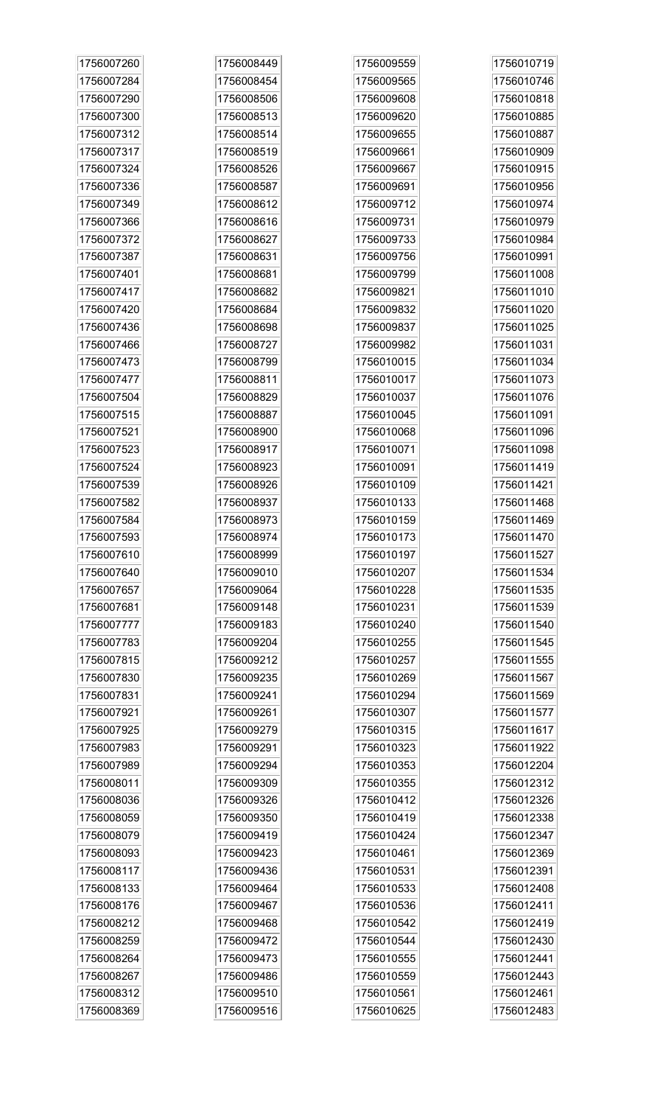| 1756007260 | 1756008449 | 1756009559 | 1756010719 |
|------------|------------|------------|------------|
| 1756007284 | 1756008454 | 1756009565 | 1756010746 |
| 1756007290 | 1756008506 | 1756009608 | 1756010818 |
| 1756007300 | 1756008513 | 1756009620 | 1756010885 |
| 1756007312 | 1756008514 | 1756009655 | 1756010887 |
| 1756007317 | 1756008519 | 1756009661 | 1756010909 |
| 1756007324 | 1756008526 | 1756009667 | 1756010915 |
| 1756007336 | 1756008587 | 1756009691 | 1756010956 |
| 1756007349 | 1756008612 | 1756009712 | 1756010974 |
| 1756007366 | 1756008616 | 1756009731 | 1756010979 |
| 1756007372 | 1756008627 | 1756009733 | 1756010984 |
| 1756007387 | 1756008631 | 1756009756 | 1756010991 |
| 1756007401 | 1756008681 | 1756009799 | 1756011008 |
| 1756007417 | 1756008682 | 1756009821 | 1756011010 |
| 1756007420 | 1756008684 | 1756009832 | 1756011020 |
| 1756007436 | 1756008698 | 1756009837 | 1756011025 |
| 1756007466 | 1756008727 | 1756009982 | 1756011031 |
| 1756007473 | 1756008799 | 1756010015 | 1756011034 |
| 1756007477 | 1756008811 | 1756010017 | 1756011073 |
| 1756007504 | 1756008829 | 1756010037 | 1756011076 |
| 1756007515 | 1756008887 | 1756010045 | 1756011091 |
| 1756007521 | 1756008900 | 1756010068 | 1756011096 |
| 1756007523 | 1756008917 | 1756010071 | 1756011098 |
| 1756007524 | 1756008923 | 1756010091 | 1756011419 |
| 1756007539 | 1756008926 | 1756010109 | 1756011421 |
| 1756007582 | 1756008937 | 1756010133 | 1756011468 |
| 1756007584 | 1756008973 | 1756010159 | 1756011469 |
| 1756007593 | 1756008974 | 1756010173 | 1756011470 |
| 1756007610 | 1756008999 | 1756010197 | 1756011527 |
| 1756007640 | 1756009010 | 1756010207 | 1756011534 |
| 1756007657 | 1756009064 | 1756010228 | 1756011535 |
| 1756007681 | 1756009148 | 1756010231 | 1756011539 |
| 1756007777 | 1756009183 | 1756010240 | 1756011540 |
| 1756007783 | 1756009204 | 1756010255 | 1756011545 |
| 1756007815 | 1756009212 | 1756010257 | 1756011555 |
| 1756007830 | 1756009235 | 1756010269 | 1756011567 |
| 1756007831 | 1756009241 | 1756010294 | 1756011569 |
| 1756007921 | 1756009261 | 1756010307 | 1756011577 |
| 1756007925 | 1756009279 | 1756010315 | 1756011617 |
| 1756007983 | 1756009291 | 1756010323 | 1756011922 |
| 1756007989 | 1756009294 | 1756010353 | 1756012204 |
| 1756008011 | 1756009309 | 1756010355 | 1756012312 |
| 1756008036 | 1756009326 | 1756010412 | 1756012326 |
| 1756008059 | 1756009350 | 1756010419 | 1756012338 |
| 1756008079 | 1756009419 | 1756010424 | 1756012347 |
| 1756008093 | 1756009423 | 1756010461 | 1756012369 |
| 1756008117 | 1756009436 | 1756010531 | 1756012391 |
| 1756008133 | 1756009464 | 1756010533 | 1756012408 |
| 1756008176 | 1756009467 | 1756010536 | 1756012411 |
| 1756008212 | 1756009468 | 1756010542 | 1756012419 |
| 1756008259 | 1756009472 | 1756010544 | 1756012430 |
| 1756008264 | 1756009473 | 1756010555 | 1756012441 |
| 1756008267 | 1756009486 | 1756010559 | 1756012443 |
| 1756008312 | 1756009510 | 1756010561 | 1756012461 |
| 1756008369 | 1756009516 | 1756010625 | 1756012483 |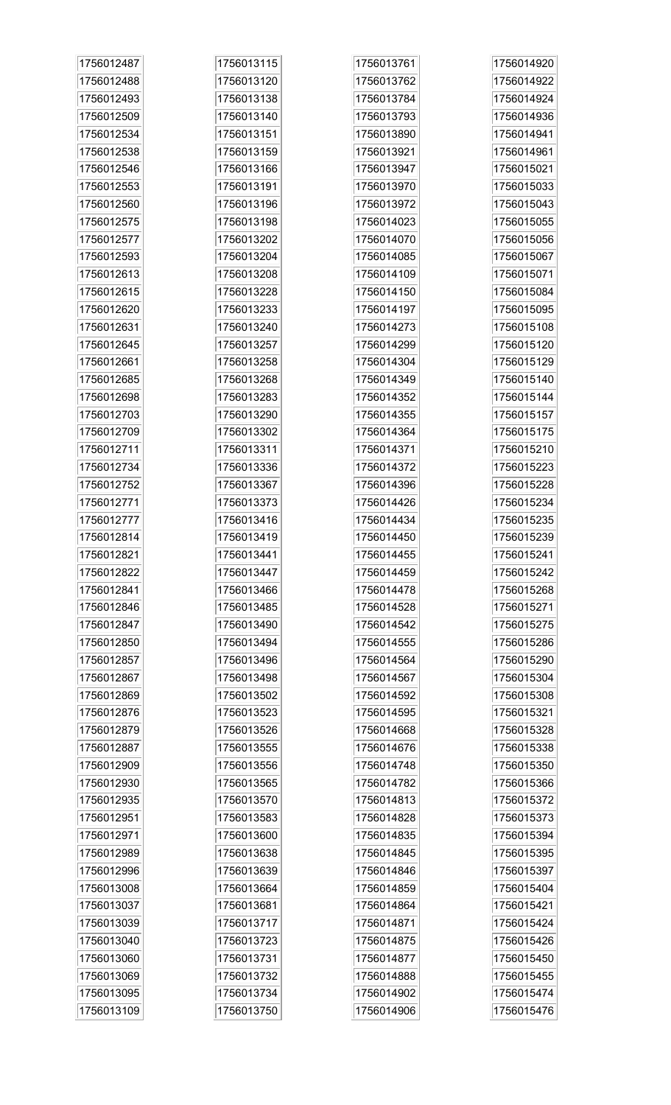| 1756012487 | 1756013115 | 1756013761 | 1756014920 |
|------------|------------|------------|------------|
| 1756012488 | 1756013120 | 1756013762 | 1756014922 |
| 1756012493 | 1756013138 | 1756013784 | 1756014924 |
| 1756012509 | 1756013140 | 1756013793 | 1756014936 |
| 1756012534 | 1756013151 | 1756013890 | 1756014941 |
| 1756012538 | 1756013159 | 1756013921 | 1756014961 |
| 1756012546 | 1756013166 | 1756013947 | 1756015021 |
| 1756012553 | 1756013191 | 1756013970 | 1756015033 |
| 1756012560 | 1756013196 | 1756013972 | 1756015043 |
| 1756012575 | 1756013198 | 1756014023 | 1756015055 |
| 1756012577 | 1756013202 | 1756014070 | 1756015056 |
| 1756012593 | 1756013204 | 1756014085 | 1756015067 |
| 1756012613 | 1756013208 | 1756014109 | 1756015071 |
| 1756012615 | 1756013228 | 1756014150 | 1756015084 |
| 1756012620 | 1756013233 | 1756014197 | 1756015095 |
| 1756012631 | 1756013240 | 1756014273 | 1756015108 |
| 1756012645 | 1756013257 | 1756014299 | 1756015120 |
| 1756012661 | 1756013258 | 1756014304 | 1756015129 |
| 1756012685 | 1756013268 | 1756014349 | 1756015140 |
| 1756012698 | 1756013283 | 1756014352 | 1756015144 |
| 1756012703 | 1756013290 | 1756014355 | 1756015157 |
| 1756012709 | 1756013302 | 1756014364 | 1756015175 |
| 1756012711 | 1756013311 | 1756014371 | 1756015210 |
| 1756012734 | 1756013336 | 1756014372 | 1756015223 |
| 1756012752 | 1756013367 | 1756014396 | 1756015228 |
| 1756012771 | 1756013373 | 1756014426 | 1756015234 |
| 1756012777 | 1756013416 | 1756014434 | 1756015235 |
| 1756012814 | 1756013419 | 1756014450 | 1756015239 |
| 1756012821 | 1756013441 | 1756014455 | 1756015241 |
| 1756012822 | 1756013447 | 1756014459 | 1756015242 |
| 1756012841 | 1756013466 | 1756014478 | 1756015268 |
| 1756012846 | 1756013485 | 1756014528 | 1756015271 |
| 1756012847 | 1756013490 | 1756014542 | 1756015275 |
| 1756012850 | 1756013494 | 1756014555 | 1756015286 |
| 1756012857 | 1756013496 | 1756014564 | 1756015290 |
| 1756012867 | 1756013498 | 1756014567 | 1756015304 |
| 1756012869 | 1756013502 | 1756014592 | 1756015308 |
| 1756012876 | 1756013523 | 1756014595 | 1756015321 |
| 1756012879 | 1756013526 | 1756014668 | 1756015328 |
| 1756012887 | 1756013555 | 1756014676 | 1756015338 |
| 1756012909 | 1756013556 | 1756014748 | 1756015350 |
| 1756012930 | 1756013565 | 1756014782 | 1756015366 |
| 1756012935 | 1756013570 | 1756014813 | 1756015372 |
| 1756012951 | 1756013583 | 1756014828 | 1756015373 |
| 1756012971 | 1756013600 | 1756014835 | 1756015394 |
| 1756012989 | 1756013638 | 1756014845 | 1756015395 |
| 1756012996 | 1756013639 | 1756014846 | 1756015397 |
| 1756013008 | 1756013664 | 1756014859 | 1756015404 |
| 1756013037 | 1756013681 | 1756014864 | 1756015421 |
| 1756013039 | 1756013717 | 1756014871 | 1756015424 |
| 1756013040 | 1756013723 | 1756014875 | 1756015426 |
| 1756013060 | 1756013731 | 1756014877 | 1756015450 |
| 1756013069 | 1756013732 | 1756014888 | 1756015455 |
| 1756013095 | 1756013734 | 1756014902 | 1756015474 |
| 1756013109 | 1756013750 | 1756014906 | 1756015476 |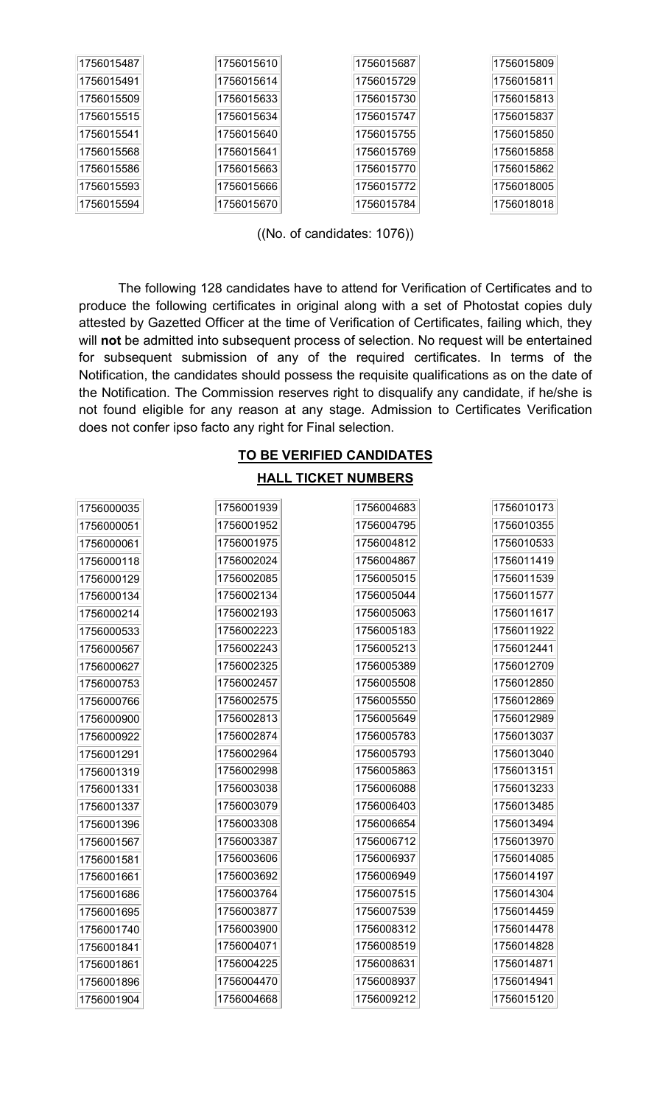| 1756015487 | 1756015610 | 1756015687 | 1756015809 |
|------------|------------|------------|------------|
| 1756015491 | 1756015614 | 1756015729 | 1756015811 |
| 1756015509 | 1756015633 | 1756015730 | 1756015813 |
| 1756015515 | 1756015634 | 1756015747 | 1756015837 |
| 1756015541 | 1756015640 | 1756015755 | 1756015850 |
| 1756015568 | 1756015641 | 1756015769 | 1756015858 |
| 1756015586 | 1756015663 | 1756015770 | 1756015862 |
| 1756015593 | 1756015666 | 1756015772 | 1756018005 |
| 1756015594 | 1756015670 | 1756015784 | 1756018018 |

((No. of candidates: 1076))

The following 128 candidates have to attend for Verification of Certificates and to produce the following certificates in original along with a set of Photostat copies duly attested by Gazetted Officer at the time of Verification of Certificates, failing which, they will not be admitted into subsequent process of selection. No request will be entertained for subsequent submission of any of the required certificates. In terms of the Notification, the candidates should possess the requisite qualifications as on the date of the Notification. The Commission reserves right to disqualify any candidate, if he/she is not found eligible for any reason at any stage. Admission to Certificates Verification does not confer ipso facto any right for Final selection.

# TO BE VERIFIED CANDIDATES HALL TICKET NUMBERS

| 1756000035 | 1756001939 | 1756004683 | 1756010173 |
|------------|------------|------------|------------|
| 1756000051 | 1756001952 | 1756004795 | 1756010355 |
| 1756000061 | 1756001975 | 1756004812 | 1756010533 |
| 1756000118 | 1756002024 | 1756004867 | 1756011419 |
| 1756000129 | 1756002085 | 1756005015 | 1756011539 |
| 1756000134 | 1756002134 | 1756005044 | 1756011577 |
| 1756000214 | 1756002193 | 1756005063 | 1756011617 |
| 1756000533 | 1756002223 | 1756005183 | 1756011922 |
| 1756000567 | 1756002243 | 1756005213 | 1756012441 |
| 1756000627 | 1756002325 | 1756005389 | 1756012709 |
| 1756000753 | 1756002457 | 1756005508 | 1756012850 |
| 1756000766 | 1756002575 | 1756005550 | 1756012869 |
| 1756000900 | 1756002813 | 1756005649 | 1756012989 |
| 1756000922 | 1756002874 | 1756005783 | 1756013037 |
| 1756001291 | 1756002964 | 1756005793 | 1756013040 |
| 1756001319 | 1756002998 | 1756005863 | 1756013151 |
| 1756001331 | 1756003038 | 1756006088 | 1756013233 |
| 1756001337 | 1756003079 | 1756006403 | 1756013485 |
| 1756001396 | 1756003308 | 1756006654 | 1756013494 |
| 1756001567 | 1756003387 | 1756006712 | 1756013970 |
| 1756001581 | 1756003606 | 1756006937 | 1756014085 |
| 1756001661 | 1756003692 | 1756006949 | 1756014197 |
| 1756001686 | 1756003764 | 1756007515 | 1756014304 |
| 1756001695 | 1756003877 | 1756007539 | 1756014459 |
| 1756001740 | 1756003900 | 1756008312 | 1756014478 |
| 1756001841 | 1756004071 | 1756008519 | 1756014828 |
| 1756001861 | 1756004225 | 1756008631 | 1756014871 |
| 1756001896 | 1756004470 | 1756008937 | 1756014941 |
| 1756001904 | 1756004668 | 1756009212 | 1756015120 |